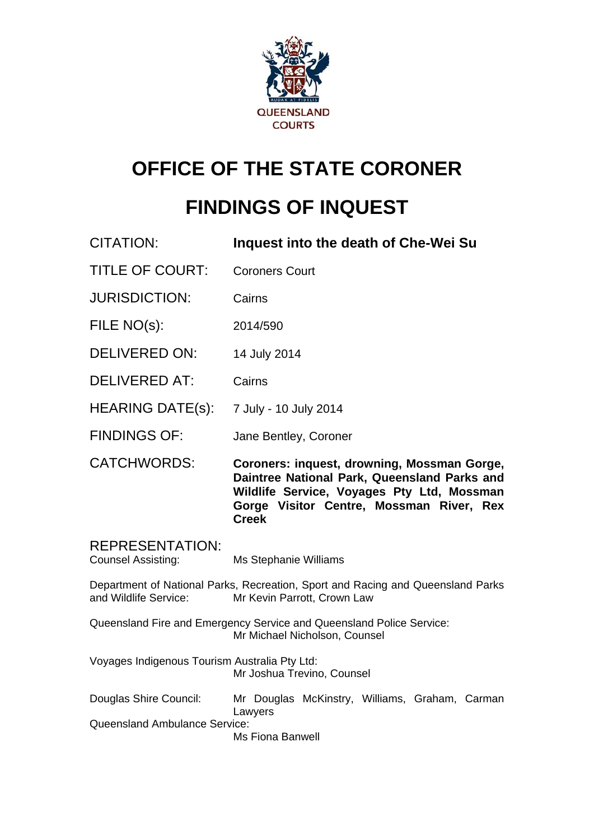

# **OFFICE OF THE STATE CORONER**

# **FINDINGS OF INQUEST**

CITATION: **Inquest into the death of Che-Wei Su**  TITLE OF COURT: Coroners Court JURISDICTION: Cairns FILE NO(s): 2014/590 DELIVERED ON: 14 July 2014 DELIVERED AT: Cairns HEARING DATE(s): 7 July - 10 July 2014 FINDINGS OF: Jane Bentley, Coroner CATCHWORDS: **Coroners: inquest, drowning, Mossman Gorge, Daintree National Park, Queensland Parks and Wildlife Service, Voyages Pty Ltd, Mossman Gorge Visitor Centre, Mossman River, Rex Creek**  REPRESENTATION: Counsel Assisting: Ms Stephanie Williams Department of National Parks, Recreation, Sport and Racing and Queensland Parks<br>and Wildlife Service: Mr Kevin Parrott Crown Law Mr Kevin Parrott, Crown Law Queensland Fire and Emergency Service and Queensland Police Service: Mr Michael Nicholson, Counsel Voyages Indigenous Tourism Australia Pty Ltd: Mr Joshua Trevino, Counsel Douglas Shire Council: Mr Douglas McKinstry, Williams, Graham, Carman Lawyers Queensland Ambulance Service: Ms Fiona Banwell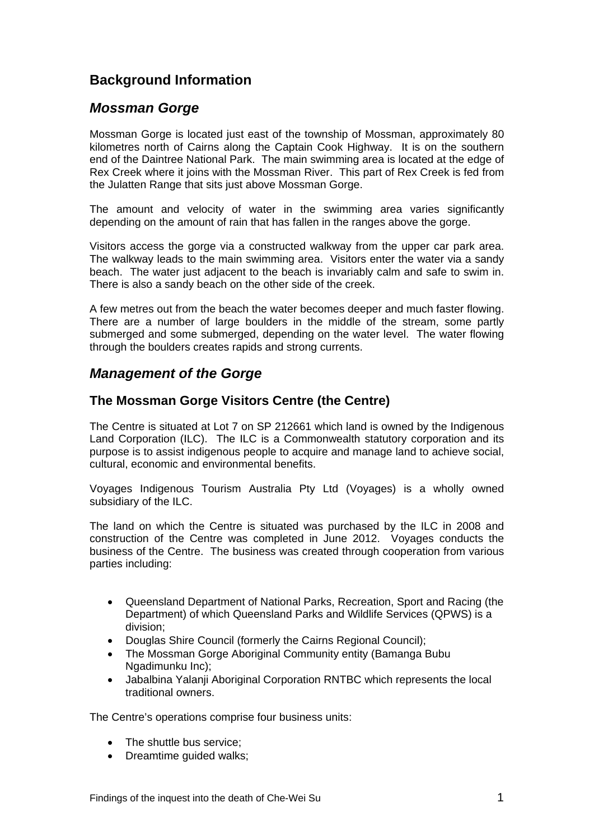# **Background Information**

# *Mossman Gorge*

Mossman Gorge is located just east of the township of Mossman, approximately 80 kilometres north of Cairns along the Captain Cook Highway. It is on the southern end of the Daintree National Park. The main swimming area is located at the edge of Rex Creek where it joins with the Mossman River. This part of Rex Creek is fed from the Julatten Range that sits just above Mossman Gorge.

The amount and velocity of water in the swimming area varies significantly depending on the amount of rain that has fallen in the ranges above the gorge.

Visitors access the gorge via a constructed walkway from the upper car park area. The walkway leads to the main swimming area. Visitors enter the water via a sandy beach. The water just adjacent to the beach is invariably calm and safe to swim in. There is also a sandy beach on the other side of the creek.

A few metres out from the beach the water becomes deeper and much faster flowing. There are a number of large boulders in the middle of the stream, some partly submerged and some submerged, depending on the water level. The water flowing through the boulders creates rapids and strong currents.

# *Management of the Gorge*

# **The Mossman Gorge Visitors Centre (the Centre)**

The Centre is situated at Lot 7 on SP 212661 which land is owned by the Indigenous Land Corporation (ILC). The ILC is a Commonwealth statutory corporation and its purpose is to assist indigenous people to acquire and manage land to achieve social, cultural, economic and environmental benefits.

Voyages Indigenous Tourism Australia Pty Ltd (Voyages) is a wholly owned subsidiary of the ILC.

The land on which the Centre is situated was purchased by the ILC in 2008 and construction of the Centre was completed in June 2012. Voyages conducts the business of the Centre. The business was created through cooperation from various parties including:

- Queensland Department of National Parks, Recreation, Sport and Racing (the Department) of which Queensland Parks and Wildlife Services (QPWS) is a division;
- Douglas Shire Council (formerly the Cairns Regional Council);
- The Mossman Gorge Aboriginal Community entity (Bamanga Bubu Ngadimunku Inc);
- Jabalbina Yalanji Aboriginal Corporation RNTBC which represents the local traditional owners.

The Centre's operations comprise four business units:

- The shuttle bus service:
- Dreamtime guided walks: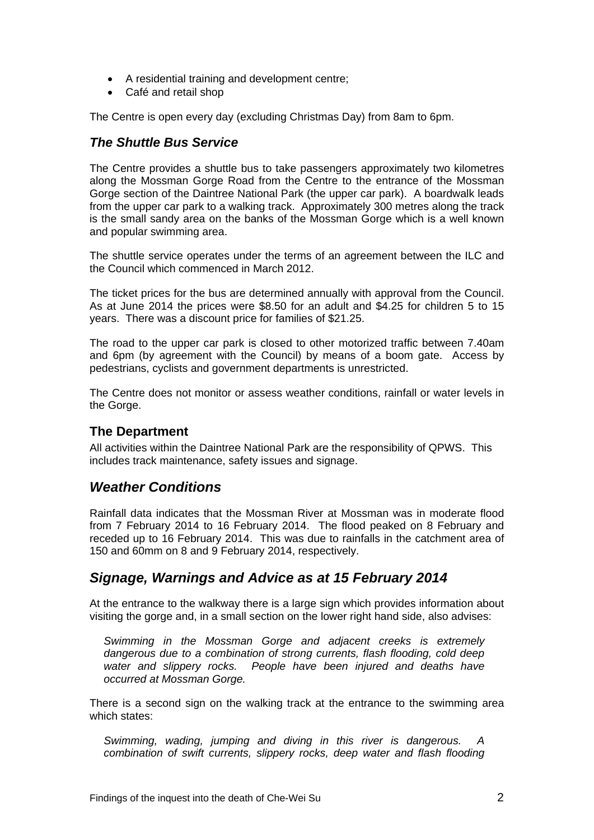- A residential training and development centre;
- Café and retail shop

The Centre is open every day (excluding Christmas Day) from 8am to 6pm.

# *The Shuttle Bus Service*

The Centre provides a shuttle bus to take passengers approximately two kilometres along the Mossman Gorge Road from the Centre to the entrance of the Mossman Gorge section of the Daintree National Park (the upper car park). A boardwalk leads from the upper car park to a walking track. Approximately 300 metres along the track is the small sandy area on the banks of the Mossman Gorge which is a well known and popular swimming area.

The shuttle service operates under the terms of an agreement between the ILC and the Council which commenced in March 2012.

The ticket prices for the bus are determined annually with approval from the Council. As at June 2014 the prices were \$8.50 for an adult and \$4.25 for children 5 to 15 years. There was a discount price for families of \$21.25.

The road to the upper car park is closed to other motorized traffic between 7.40am and 6pm (by agreement with the Council) by means of a boom gate. Access by pedestrians, cyclists and government departments is unrestricted.

The Centre does not monitor or assess weather conditions, rainfall or water levels in the Gorge.

# **The Department**

All activities within the Daintree National Park are the responsibility of QPWS. This includes track maintenance, safety issues and signage.

# *Weather Conditions*

Rainfall data indicates that the Mossman River at Mossman was in moderate flood from 7 February 2014 to 16 February 2014. The flood peaked on 8 February and receded up to 16 February 2014. This was due to rainfalls in the catchment area of 150 and 60mm on 8 and 9 February 2014, respectively.

# *Signage, Warnings and Advice as at 15 February 2014*

At the entrance to the walkway there is a large sign which provides information about visiting the gorge and, in a small section on the lower right hand side, also advises:

*Swimming in the Mossman Gorge and adjacent creeks is extremely dangerous due to a combination of strong currents, flash flooding, cold deep water and slippery rocks. People have been injured and deaths have occurred at Mossman Gorge.* 

There is a second sign on the walking track at the entrance to the swimming area which states:

*Swimming, wading, jumping and diving in this river is dangerous. A combination of swift currents, slippery rocks, deep water and flash flooding*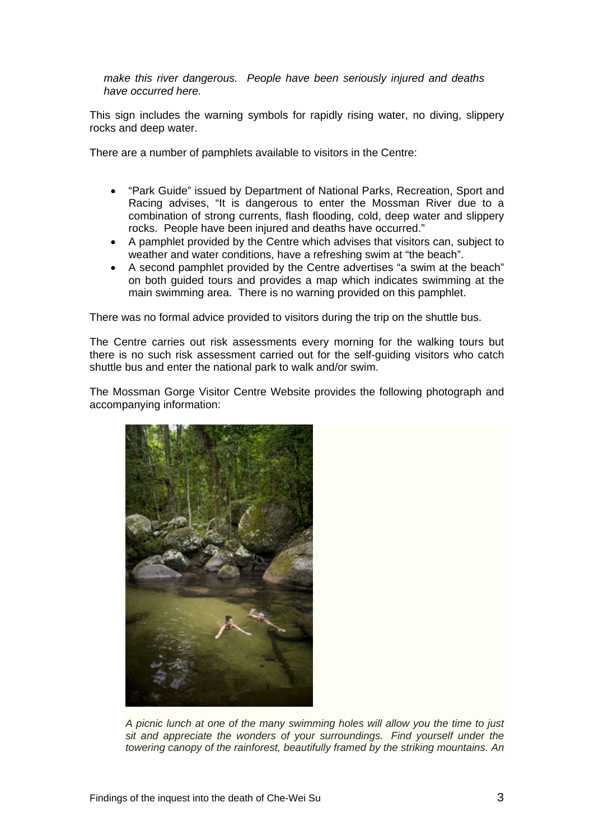*make this river dangerous. People have been seriously injured and deaths have occurred here.* 

This sign includes the warning symbols for rapidly rising water, no diving, slippery rocks and deep water.

There are a number of pamphlets available to visitors in the Centre:

- "Park Guide" issued by Department of National Parks, Recreation, Sport and Racing advises, "It is dangerous to enter the Mossman River due to a combination of strong currents, flash flooding, cold, deep water and slippery rocks. People have been injured and deaths have occurred."
- A pamphlet provided by the Centre which advises that visitors can, subject to weather and water conditions, have a refreshing swim at "the beach".
- A second pamphlet provided by the Centre advertises "a swim at the beach" on both guided tours and provides a map which indicates swimming at the main swimming area. There is no warning provided on this pamphlet.

There was no formal advice provided to visitors during the trip on the shuttle bus.

The Centre carries out risk assessments every morning for the walking tours but there is no such risk assessment carried out for the self-guiding visitors who catch shuttle bus and enter the national park to walk and/or swim.

The Mossman Gorge Visitor Centre Website provides the following photograph and accompanying information:



*A picnic lunch at one of the many swimming holes will allow you the time to just sit and appreciate the wonders of your surroundings. Find yourself under the towering canopy of the rainforest, beautifully framed by the striking mountains. An*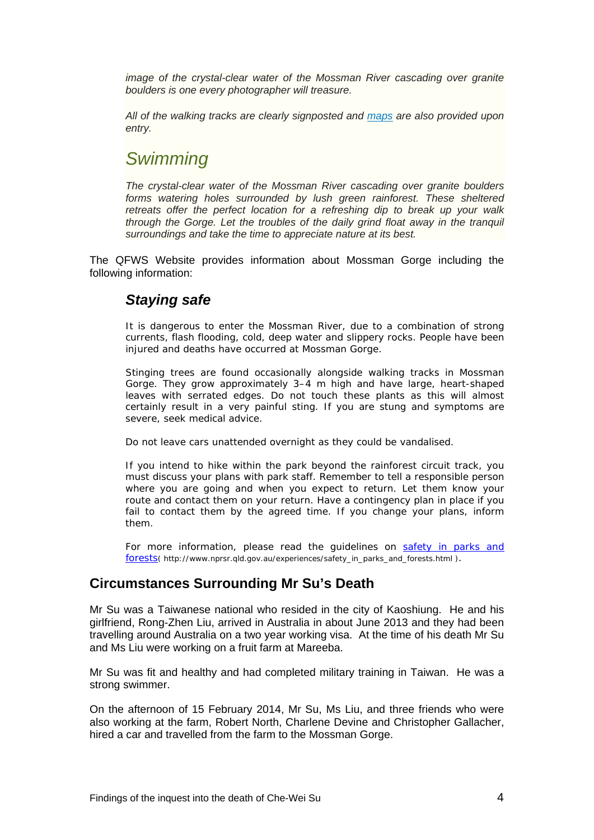*image of the crystal-clear water of the Mossman River cascading over granite boulders is one every photographer will treasure.* 

*All of the walking tracks are clearly signposted and [maps](http://www.mossmangorge.com.au/Getting-There/Maps.aspx) are also provided upon entry.* 

# *Swimming*

*The crystal-clear water of the Mossman River cascading over granite boulders forms watering holes surrounded by lush green rainforest. These sheltered retreats offer the perfect location for a refreshing dip to break up your walk through the Gorge. Let the troubles of the daily grind float away in the tranquil surroundings and take the time to appreciate nature at its best.*

The QFWS Website provides information about Mossman Gorge including the following information:

# *Staying safe*

*It is dangerous to enter the Mossman River, due to a combination of strong currents, flash flooding, cold, deep water and slippery rocks. People have been injured and deaths have occurred at Mossman Gorge.* 

*Stinging trees are found occasionally alongside walking tracks in Mossman Gorge. They grow approximately 3–4 m high and have large, heart-shaped*  leaves with serrated edges. Do not touch these plants as this will almost *certainly result in a very painful sting. If you are stung and symptoms are severe, seek medical advice.* 

*Do not leave cars unattended overnight as they could be vandalised.* 

*If you intend to hike within the park beyond the rainforest circuit track, you must discuss your plans with park staff. Remember to tell a responsible person where you are going and when you expect to return. Let them know your route and contact them on your return. Have a contingency plan in place if you*  fail to contact them by the agreed time. If you change your plans, inform *them.* 

*For more information, please read the guidelines on [safety in parks and](http://www.nprsr.qld.gov.au/experiences/safety_in_parks_and_forests.html)  [forests](http://www.nprsr.qld.gov.au/experiences/safety_in_parks_and_forests.html)( http://www.nprsr.qld.gov.au/experiences/safety\_in\_parks\_and\_forests.html ).* 

# **Circumstances Surrounding Mr Su's Death**

Mr Su was a Taiwanese national who resided in the city of Kaoshiung. He and his girlfriend, Rong-Zhen Liu, arrived in Australia in about June 2013 and they had been travelling around Australia on a two year working visa. At the time of his death Mr Su and Ms Liu were working on a fruit farm at Mareeba.

Mr Su was fit and healthy and had completed military training in Taiwan. He was a strong swimmer.

On the afternoon of 15 February 2014, Mr Su, Ms Liu, and three friends who were also working at the farm, Robert North, Charlene Devine and Christopher Gallacher, hired a car and travelled from the farm to the Mossman Gorge.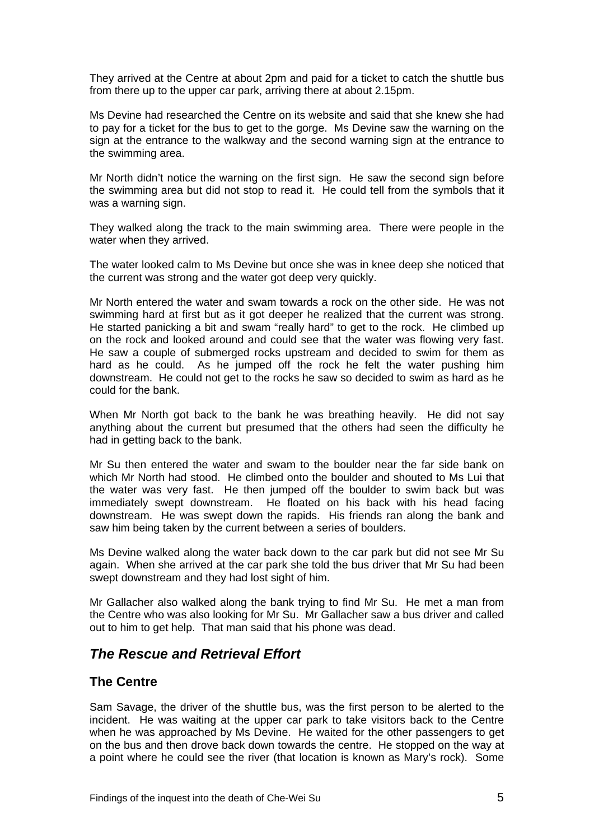They arrived at the Centre at about 2pm and paid for a ticket to catch the shuttle bus from there up to the upper car park, arriving there at about 2.15pm.

Ms Devine had researched the Centre on its website and said that she knew she had to pay for a ticket for the bus to get to the gorge. Ms Devine saw the warning on the sign at the entrance to the walkway and the second warning sign at the entrance to the swimming area.

Mr North didn't notice the warning on the first sign. He saw the second sign before the swimming area but did not stop to read it. He could tell from the symbols that it was a warning sign.

They walked along the track to the main swimming area. There were people in the water when they arrived.

The water looked calm to Ms Devine but once she was in knee deep she noticed that the current was strong and the water got deep very quickly.

Mr North entered the water and swam towards a rock on the other side. He was not swimming hard at first but as it got deeper he realized that the current was strong. He started panicking a bit and swam "really hard" to get to the rock. He climbed up on the rock and looked around and could see that the water was flowing very fast. He saw a couple of submerged rocks upstream and decided to swim for them as hard as he could. As he jumped off the rock he felt the water pushing him downstream. He could not get to the rocks he saw so decided to swim as hard as he could for the bank.

When Mr North got back to the bank he was breathing heavily. He did not say anything about the current but presumed that the others had seen the difficulty he had in getting back to the bank.

Mr Su then entered the water and swam to the boulder near the far side bank on which Mr North had stood. He climbed onto the boulder and shouted to Ms Lui that the water was very fast. He then jumped off the boulder to swim back but was immediately swept downstream. He floated on his back with his head facing downstream. He was swept down the rapids. His friends ran along the bank and saw him being taken by the current between a series of boulders.

Ms Devine walked along the water back down to the car park but did not see Mr Su again. When she arrived at the car park she told the bus driver that Mr Su had been swept downstream and they had lost sight of him.

Mr Gallacher also walked along the bank trying to find Mr Su. He met a man from the Centre who was also looking for Mr Su. Mr Gallacher saw a bus driver and called out to him to get help. That man said that his phone was dead.

# *The Rescue and Retrieval Effort*

#### **The Centre**

Sam Savage, the driver of the shuttle bus, was the first person to be alerted to the incident. He was waiting at the upper car park to take visitors back to the Centre when he was approached by Ms Devine. He waited for the other passengers to get on the bus and then drove back down towards the centre. He stopped on the way at a point where he could see the river (that location is known as Mary's rock). Some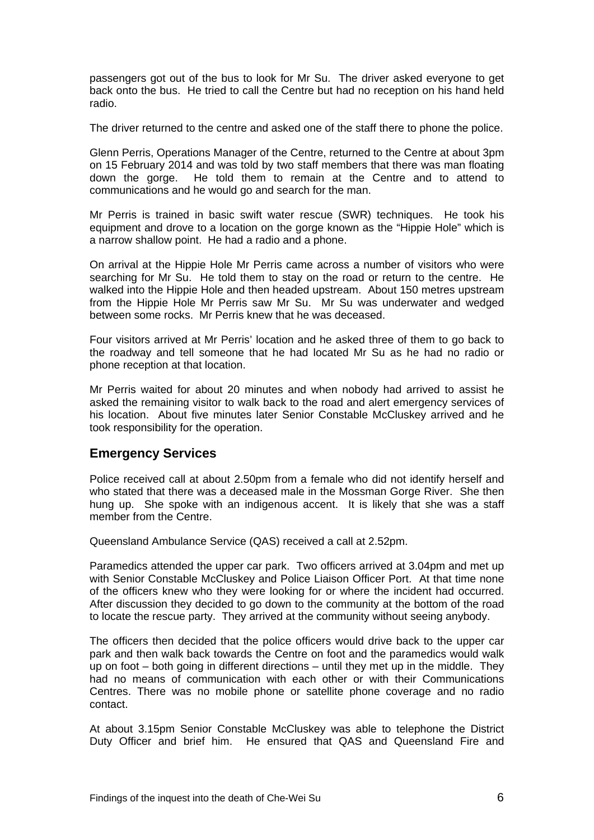passengers got out of the bus to look for Mr Su. The driver asked everyone to get back onto the bus. He tried to call the Centre but had no reception on his hand held radio.

The driver returned to the centre and asked one of the staff there to phone the police.

Glenn Perris, Operations Manager of the Centre, returned to the Centre at about 3pm on 15 February 2014 and was told by two staff members that there was man floating down the gorge. He told them to remain at the Centre and to attend to communications and he would go and search for the man.

Mr Perris is trained in basic swift water rescue (SWR) techniques. He took his equipment and drove to a location on the gorge known as the "Hippie Hole" which is a narrow shallow point. He had a radio and a phone.

On arrival at the Hippie Hole Mr Perris came across a number of visitors who were searching for Mr Su. He told them to stay on the road or return to the centre. He walked into the Hippie Hole and then headed upstream. About 150 metres upstream from the Hippie Hole Mr Perris saw Mr Su. Mr Su was underwater and wedged between some rocks. Mr Perris knew that he was deceased.

Four visitors arrived at Mr Perris' location and he asked three of them to go back to the roadway and tell someone that he had located Mr Su as he had no radio or phone reception at that location.

Mr Perris waited for about 20 minutes and when nobody had arrived to assist he asked the remaining visitor to walk back to the road and alert emergency services of his location. About five minutes later Senior Constable McCluskey arrived and he took responsibility for the operation.

# **Emergency Services**

Police received call at about 2.50pm from a female who did not identify herself and who stated that there was a deceased male in the Mossman Gorge River. She then hung up. She spoke with an indigenous accent. It is likely that she was a staff member from the Centre.

Queensland Ambulance Service (QAS) received a call at 2.52pm.

Paramedics attended the upper car park. Two officers arrived at 3.04pm and met up with Senior Constable McCluskey and Police Liaison Officer Port. At that time none of the officers knew who they were looking for or where the incident had occurred. After discussion they decided to go down to the community at the bottom of the road to locate the rescue party. They arrived at the community without seeing anybody.

The officers then decided that the police officers would drive back to the upper car park and then walk back towards the Centre on foot and the paramedics would walk up on foot – both going in different directions – until they met up in the middle. They had no means of communication with each other or with their Communications Centres. There was no mobile phone or satellite phone coverage and no radio contact.

At about 3.15pm Senior Constable McCluskey was able to telephone the District Duty Officer and brief him. He ensured that QAS and Queensland Fire and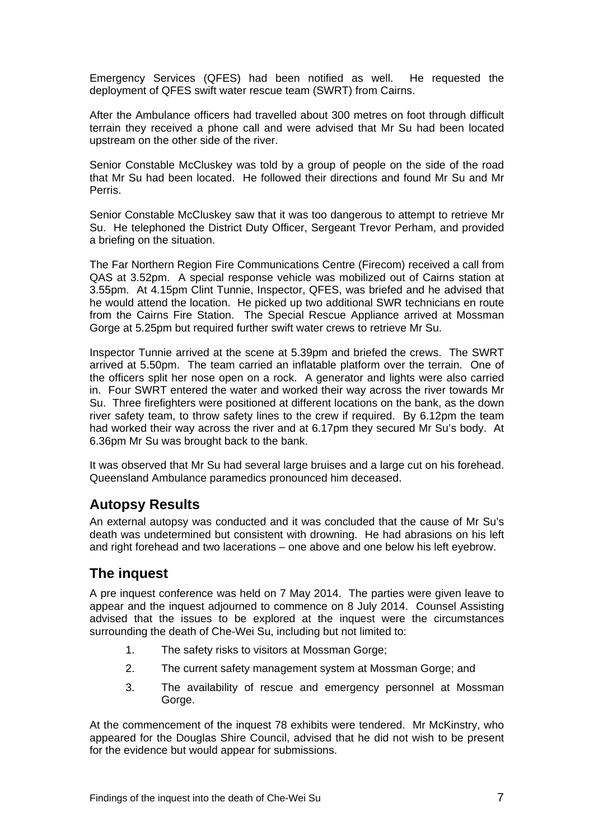Emergency Services (QFES) had been notified as well. He requested the deployment of QFES swift water rescue team (SWRT) from Cairns.

After the Ambulance officers had travelled about 300 metres on foot through difficult terrain they received a phone call and were advised that Mr Su had been located upstream on the other side of the river.

Senior Constable McCluskey was told by a group of people on the side of the road that Mr Su had been located. He followed their directions and found Mr Su and Mr Perris.

Senior Constable McCluskey saw that it was too dangerous to attempt to retrieve Mr Su. He telephoned the District Duty Officer, Sergeant Trevor Perham, and provided a briefing on the situation.

The Far Northern Region Fire Communications Centre (Firecom) received a call from QAS at 3.52pm. A special response vehicle was mobilized out of Cairns station at 3.55pm. At 4.15pm Clint Tunnie, Inspector, QFES, was briefed and he advised that he would attend the location. He picked up two additional SWR technicians en route from the Cairns Fire Station. The Special Rescue Appliance arrived at Mossman Gorge at 5.25pm but required further swift water crews to retrieve Mr Su.

Inspector Tunnie arrived at the scene at 5.39pm and briefed the crews. The SWRT arrived at 5.50pm. The team carried an inflatable platform over the terrain. One of the officers split her nose open on a rock. A generator and lights were also carried in. Four SWRT entered the water and worked their way across the river towards Mr Su. Three firefighters were positioned at different locations on the bank, as the down river safety team, to throw safety lines to the crew if required. By 6.12pm the team had worked their way across the river and at 6.17pm they secured Mr Su's body. At 6.36pm Mr Su was brought back to the bank.

It was observed that Mr Su had several large bruises and a large cut on his forehead. Queensland Ambulance paramedics pronounced him deceased.

# **Autopsy Results**

An external autopsy was conducted and it was concluded that the cause of Mr Su's death was undetermined but consistent with drowning. He had abrasions on his left and right forehead and two lacerations – one above and one below his left eyebrow.

# **The inquest**

A pre inquest conference was held on 7 May 2014. The parties were given leave to appear and the inquest adjourned to commence on 8 July 2014. Counsel Assisting advised that the issues to be explored at the inquest were the circumstances surrounding the death of Che-Wei Su, including but not limited to:

- 1. The safety risks to visitors at Mossman Gorge;
- 2. The current safety management system at Mossman Gorge; and
- 3. The availability of rescue and emergency personnel at Mossman Gorge.

At the commencement of the inquest 78 exhibits were tendered. Mr McKinstry, who appeared for the Douglas Shire Council, advised that he did not wish to be present for the evidence but would appear for submissions.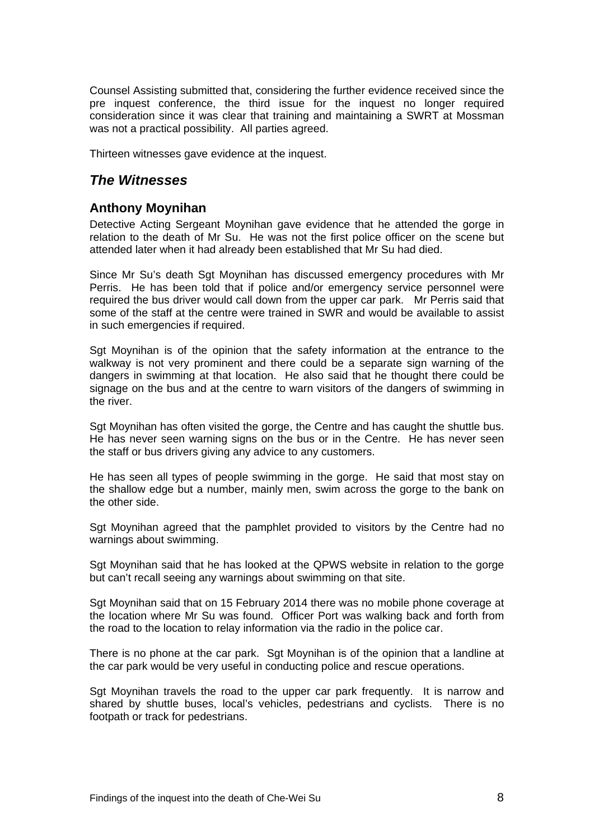Counsel Assisting submitted that, considering the further evidence received since the pre inquest conference, the third issue for the inquest no longer required consideration since it was clear that training and maintaining a SWRT at Mossman was not a practical possibility. All parties agreed.

Thirteen witnesses gave evidence at the inquest.

# *The Witnesses*

## **Anthony Moynihan**

Detective Acting Sergeant Moynihan gave evidence that he attended the gorge in relation to the death of Mr Su. He was not the first police officer on the scene but attended later when it had already been established that Mr Su had died.

Since Mr Su's death Sgt Moynihan has discussed emergency procedures with Mr Perris. He has been told that if police and/or emergency service personnel were required the bus driver would call down from the upper car park. Mr Perris said that some of the staff at the centre were trained in SWR and would be available to assist in such emergencies if required.

Sgt Moynihan is of the opinion that the safety information at the entrance to the walkway is not very prominent and there could be a separate sign warning of the dangers in swimming at that location. He also said that he thought there could be signage on the bus and at the centre to warn visitors of the dangers of swimming in the river.

Sgt Moynihan has often visited the gorge, the Centre and has caught the shuttle bus. He has never seen warning signs on the bus or in the Centre. He has never seen the staff or bus drivers giving any advice to any customers.

He has seen all types of people swimming in the gorge. He said that most stay on the shallow edge but a number, mainly men, swim across the gorge to the bank on the other side.

Sgt Moynihan agreed that the pamphlet provided to visitors by the Centre had no warnings about swimming.

Sgt Moynihan said that he has looked at the QPWS website in relation to the gorge but can't recall seeing any warnings about swimming on that site.

Sgt Moynihan said that on 15 February 2014 there was no mobile phone coverage at the location where Mr Su was found. Officer Port was walking back and forth from the road to the location to relay information via the radio in the police car.

There is no phone at the car park. Sgt Moynihan is of the opinion that a landline at the car park would be very useful in conducting police and rescue operations.

Sgt Moynihan travels the road to the upper car park frequently. It is narrow and shared by shuttle buses, local's vehicles, pedestrians and cyclists. There is no footpath or track for pedestrians.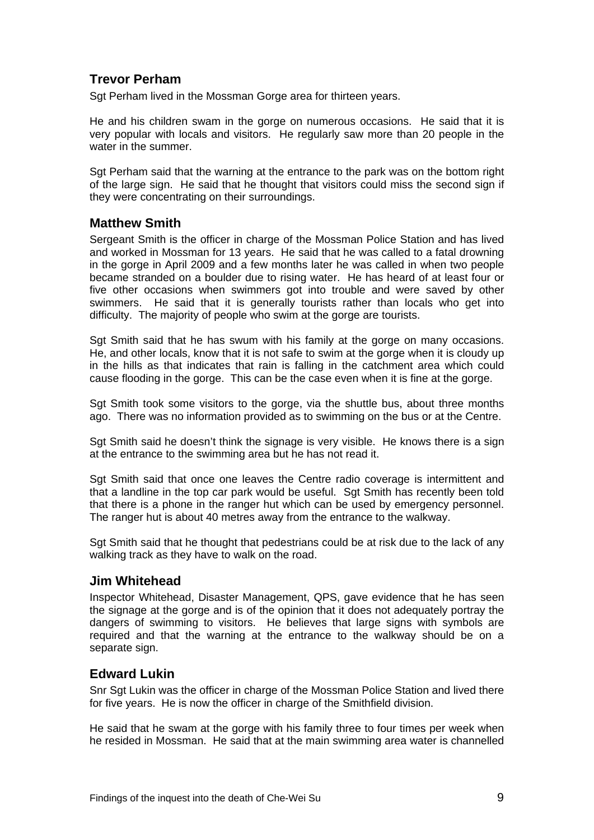# **Trevor Perham**

Sgt Perham lived in the Mossman Gorge area for thirteen years.

He and his children swam in the gorge on numerous occasions. He said that it is very popular with locals and visitors. He regularly saw more than 20 people in the water in the summer.

Sgt Perham said that the warning at the entrance to the park was on the bottom right of the large sign. He said that he thought that visitors could miss the second sign if they were concentrating on their surroundings.

## **Matthew Smith**

Sergeant Smith is the officer in charge of the Mossman Police Station and has lived and worked in Mossman for 13 years. He said that he was called to a fatal drowning in the gorge in April 2009 and a few months later he was called in when two people became stranded on a boulder due to rising water. He has heard of at least four or five other occasions when swimmers got into trouble and were saved by other swimmers. He said that it is generally tourists rather than locals who get into difficulty. The majority of people who swim at the gorge are tourists.

Sgt Smith said that he has swum with his family at the gorge on many occasions. He, and other locals, know that it is not safe to swim at the gorge when it is cloudy up in the hills as that indicates that rain is falling in the catchment area which could cause flooding in the gorge. This can be the case even when it is fine at the gorge.

Sgt Smith took some visitors to the gorge, via the shuttle bus, about three months ago. There was no information provided as to swimming on the bus or at the Centre.

Sgt Smith said he doesn't think the signage is very visible. He knows there is a sign at the entrance to the swimming area but he has not read it.

Sgt Smith said that once one leaves the Centre radio coverage is intermittent and that a landline in the top car park would be useful. Sgt Smith has recently been told that there is a phone in the ranger hut which can be used by emergency personnel. The ranger hut is about 40 metres away from the entrance to the walkway.

Sgt Smith said that he thought that pedestrians could be at risk due to the lack of any walking track as they have to walk on the road.

#### **Jim Whitehead**

Inspector Whitehead, Disaster Management, QPS, gave evidence that he has seen the signage at the gorge and is of the opinion that it does not adequately portray the dangers of swimming to visitors. He believes that large signs with symbols are required and that the warning at the entrance to the walkway should be on a separate sign.

#### **Edward Lukin**

Snr Sgt Lukin was the officer in charge of the Mossman Police Station and lived there for five years. He is now the officer in charge of the Smithfield division.

He said that he swam at the gorge with his family three to four times per week when he resided in Mossman. He said that at the main swimming area water is channelled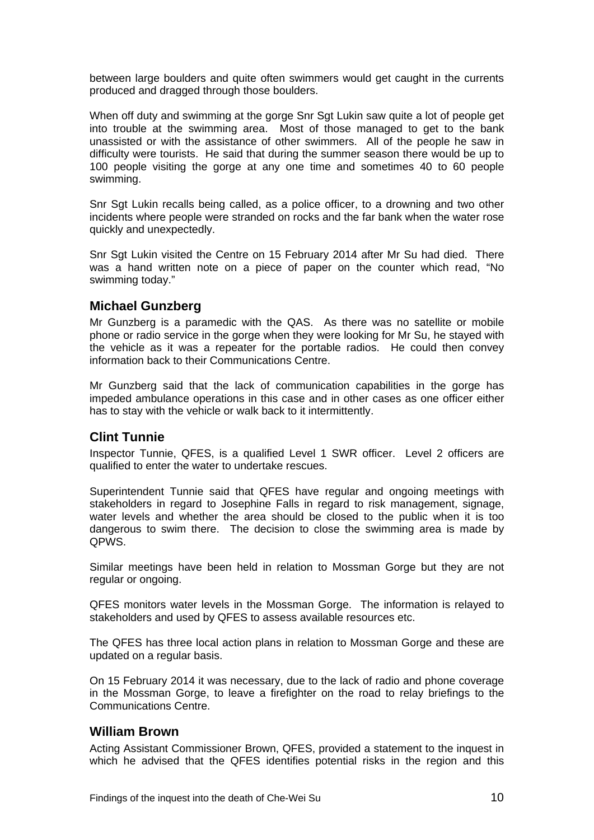between large boulders and quite often swimmers would get caught in the currents produced and dragged through those boulders.

When off duty and swimming at the gorge Snr Sgt Lukin saw quite a lot of people get into trouble at the swimming area. Most of those managed to get to the bank unassisted or with the assistance of other swimmers. All of the people he saw in difficulty were tourists. He said that during the summer season there would be up to 100 people visiting the gorge at any one time and sometimes 40 to 60 people swimming.

Snr Sgt Lukin recalls being called, as a police officer, to a drowning and two other incidents where people were stranded on rocks and the far bank when the water rose quickly and unexpectedly.

Snr Sgt Lukin visited the Centre on 15 February 2014 after Mr Su had died. There was a hand written note on a piece of paper on the counter which read, "No swimming today."

## **Michael Gunzberg**

Mr Gunzberg is a paramedic with the QAS. As there was no satellite or mobile phone or radio service in the gorge when they were looking for Mr Su, he stayed with the vehicle as it was a repeater for the portable radios. He could then convey information back to their Communications Centre.

Mr Gunzberg said that the lack of communication capabilities in the gorge has impeded ambulance operations in this case and in other cases as one officer either has to stay with the vehicle or walk back to it intermittently.

#### **Clint Tunnie**

Inspector Tunnie, QFES, is a qualified Level 1 SWR officer. Level 2 officers are qualified to enter the water to undertake rescues.

Superintendent Tunnie said that QFES have regular and ongoing meetings with stakeholders in regard to Josephine Falls in regard to risk management, signage, water levels and whether the area should be closed to the public when it is too dangerous to swim there. The decision to close the swimming area is made by QPWS.

Similar meetings have been held in relation to Mossman Gorge but they are not regular or ongoing.

QFES monitors water levels in the Mossman Gorge. The information is relayed to stakeholders and used by QFES to assess available resources etc.

The QFES has three local action plans in relation to Mossman Gorge and these are updated on a regular basis.

On 15 February 2014 it was necessary, due to the lack of radio and phone coverage in the Mossman Gorge, to leave a firefighter on the road to relay briefings to the Communications Centre.

#### **William Brown**

Acting Assistant Commissioner Brown, QFES, provided a statement to the inquest in which he advised that the QFES identifies potential risks in the region and this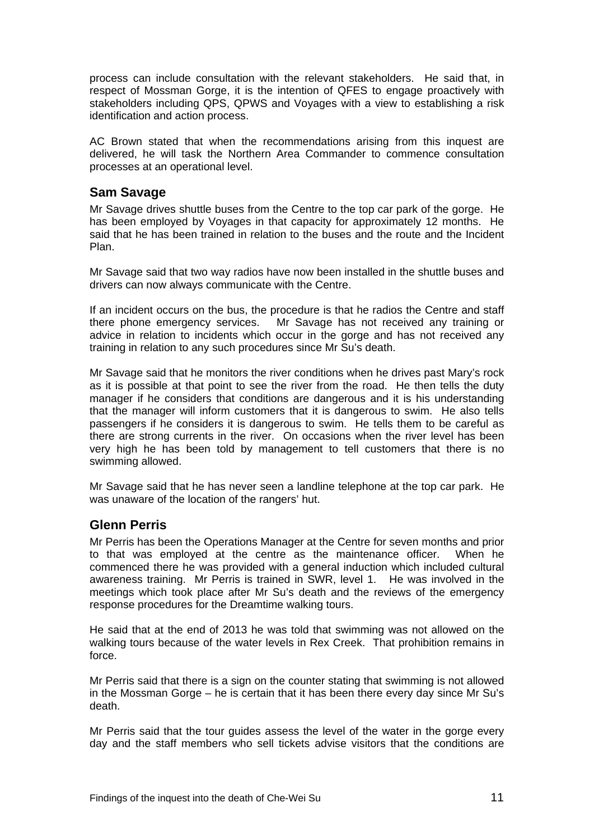process can include consultation with the relevant stakeholders. He said that, in respect of Mossman Gorge, it is the intention of QFES to engage proactively with stakeholders including QPS, QPWS and Voyages with a view to establishing a risk identification and action process.

AC Brown stated that when the recommendations arising from this inquest are delivered, he will task the Northern Area Commander to commence consultation processes at an operational level.

#### **Sam Savage**

Mr Savage drives shuttle buses from the Centre to the top car park of the gorge. He has been employed by Voyages in that capacity for approximately 12 months. He said that he has been trained in relation to the buses and the route and the Incident Plan.

Mr Savage said that two way radios have now been installed in the shuttle buses and drivers can now always communicate with the Centre.

If an incident occurs on the bus, the procedure is that he radios the Centre and staff there phone emergency services. Mr Savage has not received any training or advice in relation to incidents which occur in the gorge and has not received any training in relation to any such procedures since Mr Su's death.

Mr Savage said that he monitors the river conditions when he drives past Mary's rock as it is possible at that point to see the river from the road. He then tells the duty manager if he considers that conditions are dangerous and it is his understanding that the manager will inform customers that it is dangerous to swim. He also tells passengers if he considers it is dangerous to swim. He tells them to be careful as there are strong currents in the river. On occasions when the river level has been very high he has been told by management to tell customers that there is no swimming allowed.

Mr Savage said that he has never seen a landline telephone at the top car park. He was unaware of the location of the rangers' hut.

# **Glenn Perris**

Mr Perris has been the Operations Manager at the Centre for seven months and prior to that was employed at the centre as the maintenance officer. When he commenced there he was provided with a general induction which included cultural awareness training. Mr Perris is trained in SWR, level 1. He was involved in the meetings which took place after Mr Su's death and the reviews of the emergency response procedures for the Dreamtime walking tours.

He said that at the end of 2013 he was told that swimming was not allowed on the walking tours because of the water levels in Rex Creek. That prohibition remains in force.

Mr Perris said that there is a sign on the counter stating that swimming is not allowed in the Mossman Gorge – he is certain that it has been there every day since Mr Su's death.

Mr Perris said that the tour guides assess the level of the water in the gorge every day and the staff members who sell tickets advise visitors that the conditions are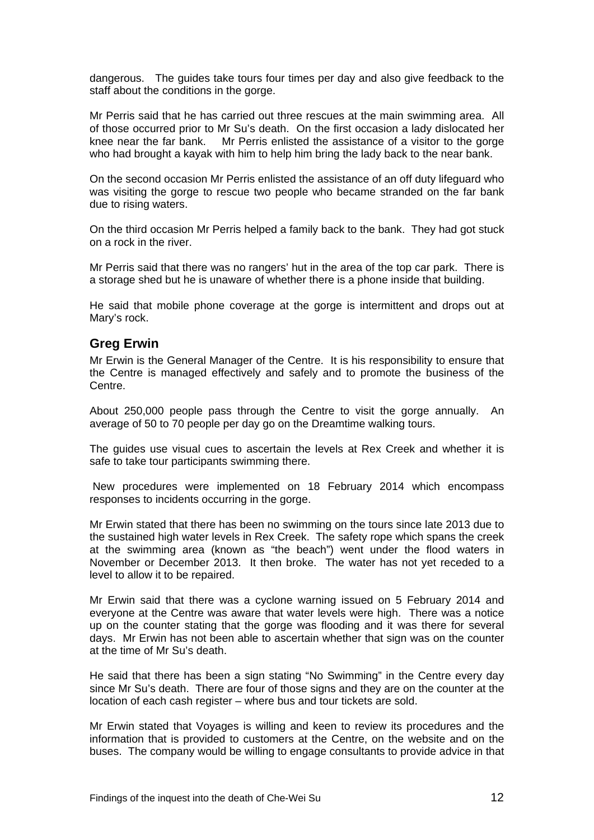dangerous. The guides take tours four times per day and also give feedback to the staff about the conditions in the gorge.

Mr Perris said that he has carried out three rescues at the main swimming area. All of those occurred prior to Mr Su's death. On the first occasion a lady dislocated her knee near the far bank. Mr Perris enlisted the assistance of a visitor to the gorge who had brought a kayak with him to help him bring the lady back to the near bank.

On the second occasion Mr Perris enlisted the assistance of an off duty lifeguard who was visiting the gorge to rescue two people who became stranded on the far bank due to rising waters.

On the third occasion Mr Perris helped a family back to the bank. They had got stuck on a rock in the river.

Mr Perris said that there was no rangers' hut in the area of the top car park. There is a storage shed but he is unaware of whether there is a phone inside that building.

He said that mobile phone coverage at the gorge is intermittent and drops out at Mary's rock.

#### **Greg Erwin**

Mr Erwin is the General Manager of the Centre. It is his responsibility to ensure that the Centre is managed effectively and safely and to promote the business of the Centre.

About 250,000 people pass through the Centre to visit the gorge annually. An average of 50 to 70 people per day go on the Dreamtime walking tours.

The guides use visual cues to ascertain the levels at Rex Creek and whether it is safe to take tour participants swimming there.

 New procedures were implemented on 18 February 2014 which encompass responses to incidents occurring in the gorge.

Mr Erwin stated that there has been no swimming on the tours since late 2013 due to the sustained high water levels in Rex Creek. The safety rope which spans the creek at the swimming area (known as "the beach") went under the flood waters in November or December 2013. It then broke. The water has not yet receded to a level to allow it to be repaired.

Mr Erwin said that there was a cyclone warning issued on 5 February 2014 and everyone at the Centre was aware that water levels were high. There was a notice up on the counter stating that the gorge was flooding and it was there for several days. Mr Erwin has not been able to ascertain whether that sign was on the counter at the time of Mr Su's death.

He said that there has been a sign stating "No Swimming" in the Centre every day since Mr Su's death. There are four of those signs and they are on the counter at the location of each cash register – where bus and tour tickets are sold.

Mr Erwin stated that Voyages is willing and keen to review its procedures and the information that is provided to customers at the Centre, on the website and on the buses. The company would be willing to engage consultants to provide advice in that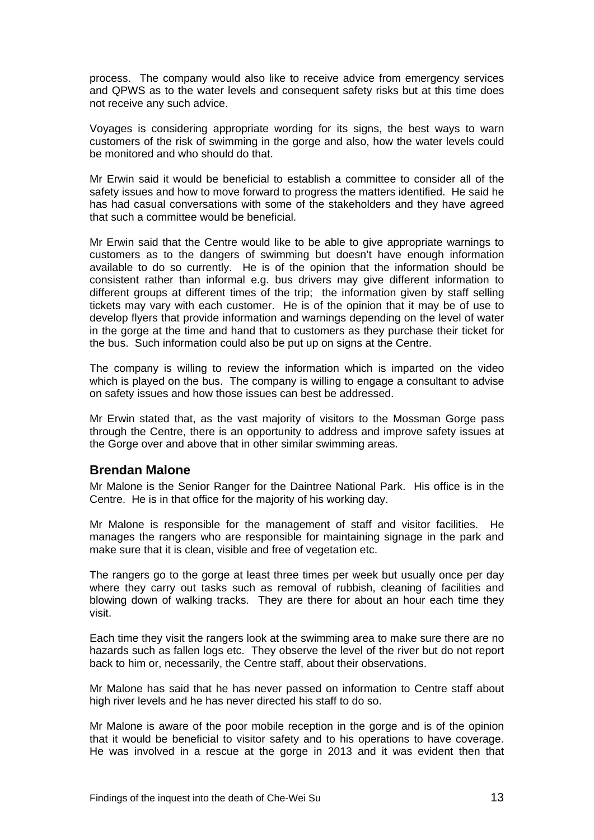process. The company would also like to receive advice from emergency services and QPWS as to the water levels and consequent safety risks but at this time does not receive any such advice.

Voyages is considering appropriate wording for its signs, the best ways to warn customers of the risk of swimming in the gorge and also, how the water levels could be monitored and who should do that.

Mr Erwin said it would be beneficial to establish a committee to consider all of the safety issues and how to move forward to progress the matters identified. He said he has had casual conversations with some of the stakeholders and they have agreed that such a committee would be beneficial.

Mr Erwin said that the Centre would like to be able to give appropriate warnings to customers as to the dangers of swimming but doesn't have enough information available to do so currently. He is of the opinion that the information should be consistent rather than informal e.g. bus drivers may give different information to different groups at different times of the trip; the information given by staff selling tickets may vary with each customer. He is of the opinion that it may be of use to develop flyers that provide information and warnings depending on the level of water in the gorge at the time and hand that to customers as they purchase their ticket for the bus. Such information could also be put up on signs at the Centre.

The company is willing to review the information which is imparted on the video which is played on the bus. The company is willing to engage a consultant to advise on safety issues and how those issues can best be addressed.

Mr Erwin stated that, as the vast majority of visitors to the Mossman Gorge pass through the Centre, there is an opportunity to address and improve safety issues at the Gorge over and above that in other similar swimming areas.

#### **Brendan Malone**

Mr Malone is the Senior Ranger for the Daintree National Park. His office is in the Centre. He is in that office for the majority of his working day.

Mr Malone is responsible for the management of staff and visitor facilities. He manages the rangers who are responsible for maintaining signage in the park and make sure that it is clean, visible and free of vegetation etc.

The rangers go to the gorge at least three times per week but usually once per day where they carry out tasks such as removal of rubbish, cleaning of facilities and blowing down of walking tracks. They are there for about an hour each time they visit.

Each time they visit the rangers look at the swimming area to make sure there are no hazards such as fallen logs etc. They observe the level of the river but do not report back to him or, necessarily, the Centre staff, about their observations.

Mr Malone has said that he has never passed on information to Centre staff about high river levels and he has never directed his staff to do so.

Mr Malone is aware of the poor mobile reception in the gorge and is of the opinion that it would be beneficial to visitor safety and to his operations to have coverage. He was involved in a rescue at the gorge in 2013 and it was evident then that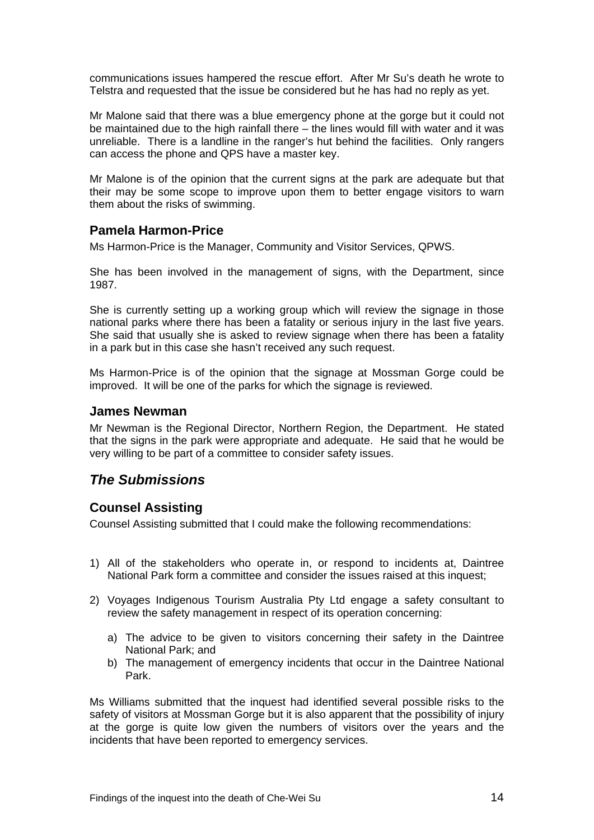communications issues hampered the rescue effort. After Mr Su's death he wrote to Telstra and requested that the issue be considered but he has had no reply as yet.

Mr Malone said that there was a blue emergency phone at the gorge but it could not be maintained due to the high rainfall there – the lines would fill with water and it was unreliable. There is a landline in the ranger's hut behind the facilities. Only rangers can access the phone and QPS have a master key.

Mr Malone is of the opinion that the current signs at the park are adequate but that their may be some scope to improve upon them to better engage visitors to warn them about the risks of swimming.

#### **Pamela Harmon-Price**

Ms Harmon-Price is the Manager, Community and Visitor Services, QPWS.

She has been involved in the management of signs, with the Department, since 1987.

She is currently setting up a working group which will review the signage in those national parks where there has been a fatality or serious injury in the last five years. She said that usually she is asked to review signage when there has been a fatality in a park but in this case she hasn't received any such request.

Ms Harmon-Price is of the opinion that the signage at Mossman Gorge could be improved. It will be one of the parks for which the signage is reviewed.

#### **James Newman**

Mr Newman is the Regional Director, Northern Region, the Department. He stated that the signs in the park were appropriate and adequate. He said that he would be very willing to be part of a committee to consider safety issues.

# *The Submissions*

#### **Counsel Assisting**

Counsel Assisting submitted that I could make the following recommendations:

- 1) All of the stakeholders who operate in, or respond to incidents at, Daintree National Park form a committee and consider the issues raised at this inquest;
- 2) Voyages Indigenous Tourism Australia Pty Ltd engage a safety consultant to review the safety management in respect of its operation concerning:
	- a) The advice to be given to visitors concerning their safety in the Daintree National Park; and
	- b) The management of emergency incidents that occur in the Daintree National Park.

Ms Williams submitted that the inquest had identified several possible risks to the safety of visitors at Mossman Gorge but it is also apparent that the possibility of injury at the gorge is quite low given the numbers of visitors over the years and the incidents that have been reported to emergency services.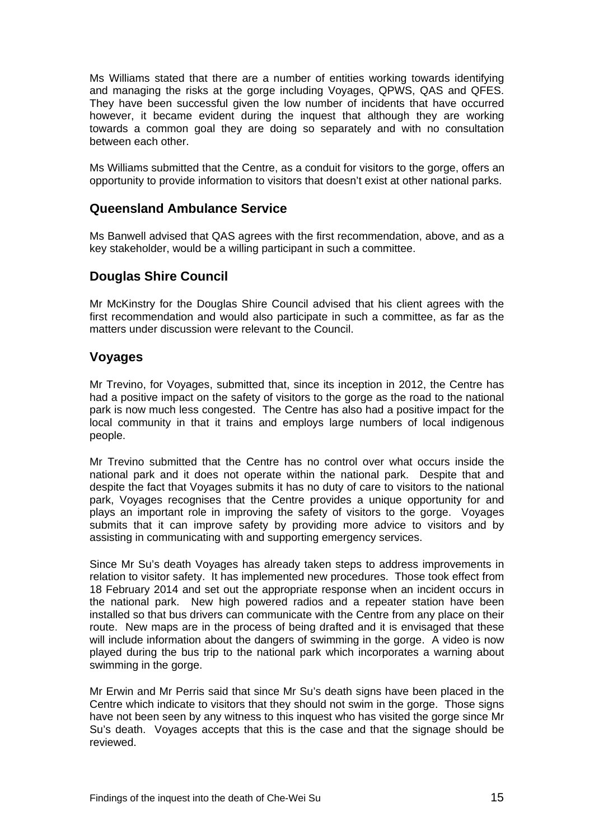Ms Williams stated that there are a number of entities working towards identifying and managing the risks at the gorge including Voyages, QPWS, QAS and QFES. They have been successful given the low number of incidents that have occurred however, it became evident during the inquest that although they are working towards a common goal they are doing so separately and with no consultation between each other.

Ms Williams submitted that the Centre, as a conduit for visitors to the gorge, offers an opportunity to provide information to visitors that doesn't exist at other national parks.

## **Queensland Ambulance Service**

Ms Banwell advised that QAS agrees with the first recommendation, above, and as a key stakeholder, would be a willing participant in such a committee.

## **Douglas Shire Council**

Mr McKinstry for the Douglas Shire Council advised that his client agrees with the first recommendation and would also participate in such a committee, as far as the matters under discussion were relevant to the Council.

#### **Voyages**

Mr Trevino, for Voyages, submitted that, since its inception in 2012, the Centre has had a positive impact on the safety of visitors to the gorge as the road to the national park is now much less congested. The Centre has also had a positive impact for the local community in that it trains and employs large numbers of local indigenous people.

Mr Trevino submitted that the Centre has no control over what occurs inside the national park and it does not operate within the national park. Despite that and despite the fact that Voyages submits it has no duty of care to visitors to the national park, Voyages recognises that the Centre provides a unique opportunity for and plays an important role in improving the safety of visitors to the gorge. Voyages submits that it can improve safety by providing more advice to visitors and by assisting in communicating with and supporting emergency services.

Since Mr Su's death Voyages has already taken steps to address improvements in relation to visitor safety. It has implemented new procedures. Those took effect from 18 February 2014 and set out the appropriate response when an incident occurs in the national park. New high powered radios and a repeater station have been installed so that bus drivers can communicate with the Centre from any place on their route. New maps are in the process of being drafted and it is envisaged that these will include information about the dangers of swimming in the gorge. A video is now played during the bus trip to the national park which incorporates a warning about swimming in the gorge.

Mr Erwin and Mr Perris said that since Mr Su's death signs have been placed in the Centre which indicate to visitors that they should not swim in the gorge. Those signs have not been seen by any witness to this inquest who has visited the gorge since Mr Su's death. Voyages accepts that this is the case and that the signage should be reviewed.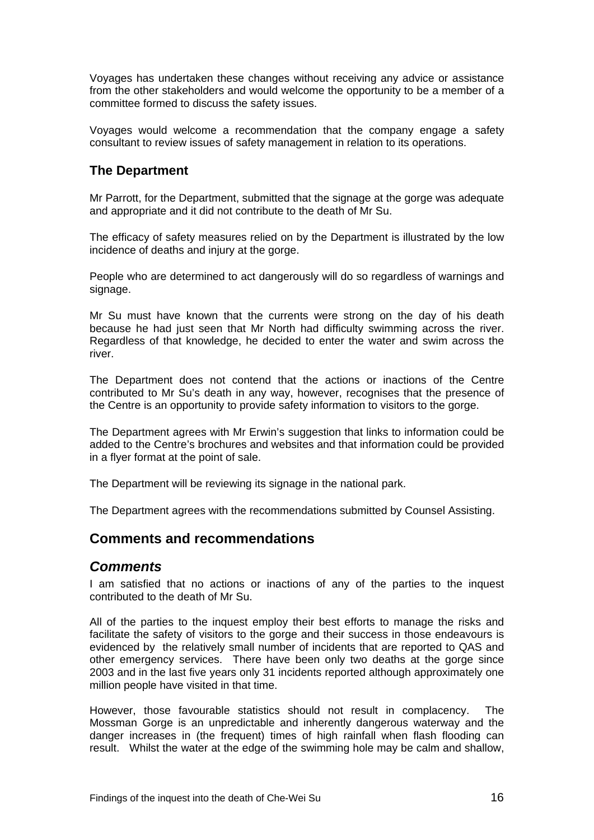Voyages has undertaken these changes without receiving any advice or assistance from the other stakeholders and would welcome the opportunity to be a member of a committee formed to discuss the safety issues.

Voyages would welcome a recommendation that the company engage a safety consultant to review issues of safety management in relation to its operations.

## **The Department**

Mr Parrott, for the Department, submitted that the signage at the gorge was adequate and appropriate and it did not contribute to the death of Mr Su.

The efficacy of safety measures relied on by the Department is illustrated by the low incidence of deaths and injury at the gorge.

People who are determined to act dangerously will do so regardless of warnings and signage.

Mr Su must have known that the currents were strong on the day of his death because he had just seen that Mr North had difficulty swimming across the river. Regardless of that knowledge, he decided to enter the water and swim across the river.

The Department does not contend that the actions or inactions of the Centre contributed to Mr Su's death in any way, however, recognises that the presence of the Centre is an opportunity to provide safety information to visitors to the gorge.

The Department agrees with Mr Erwin's suggestion that links to information could be added to the Centre's brochures and websites and that information could be provided in a flyer format at the point of sale.

The Department will be reviewing its signage in the national park.

The Department agrees with the recommendations submitted by Counsel Assisting.

# **Comments and recommendations**

#### *Comments*

I am satisfied that no actions or inactions of any of the parties to the inquest contributed to the death of Mr Su.

All of the parties to the inquest employ their best efforts to manage the risks and facilitate the safety of visitors to the gorge and their success in those endeavours is evidenced by the relatively small number of incidents that are reported to QAS and other emergency services. There have been only two deaths at the gorge since 2003 and in the last five years only 31 incidents reported although approximately one million people have visited in that time.

However, those favourable statistics should not result in complacency. The Mossman Gorge is an unpredictable and inherently dangerous waterway and the danger increases in (the frequent) times of high rainfall when flash flooding can result. Whilst the water at the edge of the swimming hole may be calm and shallow,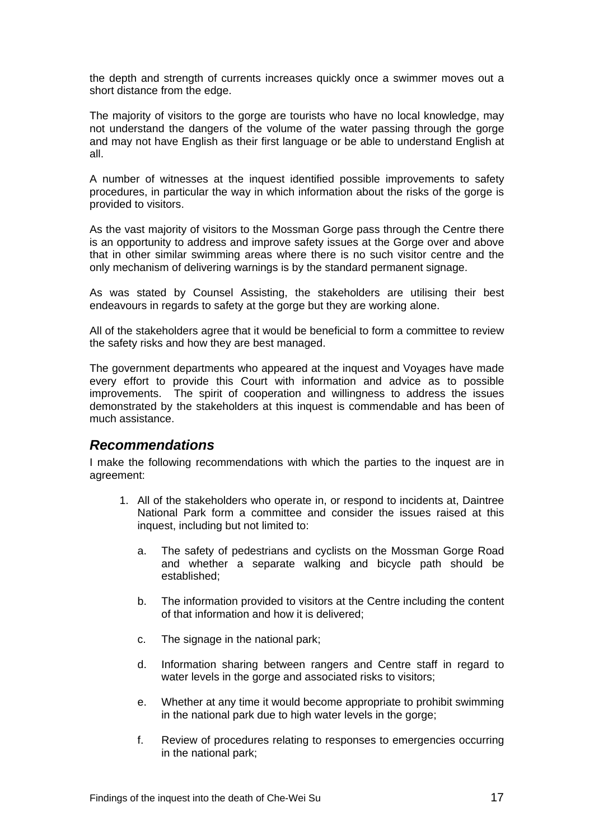the depth and strength of currents increases quickly once a swimmer moves out a short distance from the edge.

The majority of visitors to the gorge are tourists who have no local knowledge, may not understand the dangers of the volume of the water passing through the gorge and may not have English as their first language or be able to understand English at all.

A number of witnesses at the inquest identified possible improvements to safety procedures, in particular the way in which information about the risks of the gorge is provided to visitors.

As the vast majority of visitors to the Mossman Gorge pass through the Centre there is an opportunity to address and improve safety issues at the Gorge over and above that in other similar swimming areas where there is no such visitor centre and the only mechanism of delivering warnings is by the standard permanent signage.

As was stated by Counsel Assisting, the stakeholders are utilising their best endeavours in regards to safety at the gorge but they are working alone.

All of the stakeholders agree that it would be beneficial to form a committee to review the safety risks and how they are best managed.

The government departments who appeared at the inquest and Voyages have made every effort to provide this Court with information and advice as to possible improvements. The spirit of cooperation and willingness to address the issues demonstrated by the stakeholders at this inquest is commendable and has been of much assistance.

#### *Recommendations*

I make the following recommendations with which the parties to the inquest are in agreement:

- 1. All of the stakeholders who operate in, or respond to incidents at, Daintree National Park form a committee and consider the issues raised at this inquest, including but not limited to:
	- a. The safety of pedestrians and cyclists on the Mossman Gorge Road and whether a separate walking and bicycle path should be established;
	- b. The information provided to visitors at the Centre including the content of that information and how it is delivered;
	- c. The signage in the national park;
	- d. Information sharing between rangers and Centre staff in regard to water levels in the gorge and associated risks to visitors;
	- e. Whether at any time it would become appropriate to prohibit swimming in the national park due to high water levels in the gorge;
	- f. Review of procedures relating to responses to emergencies occurring in the national park;